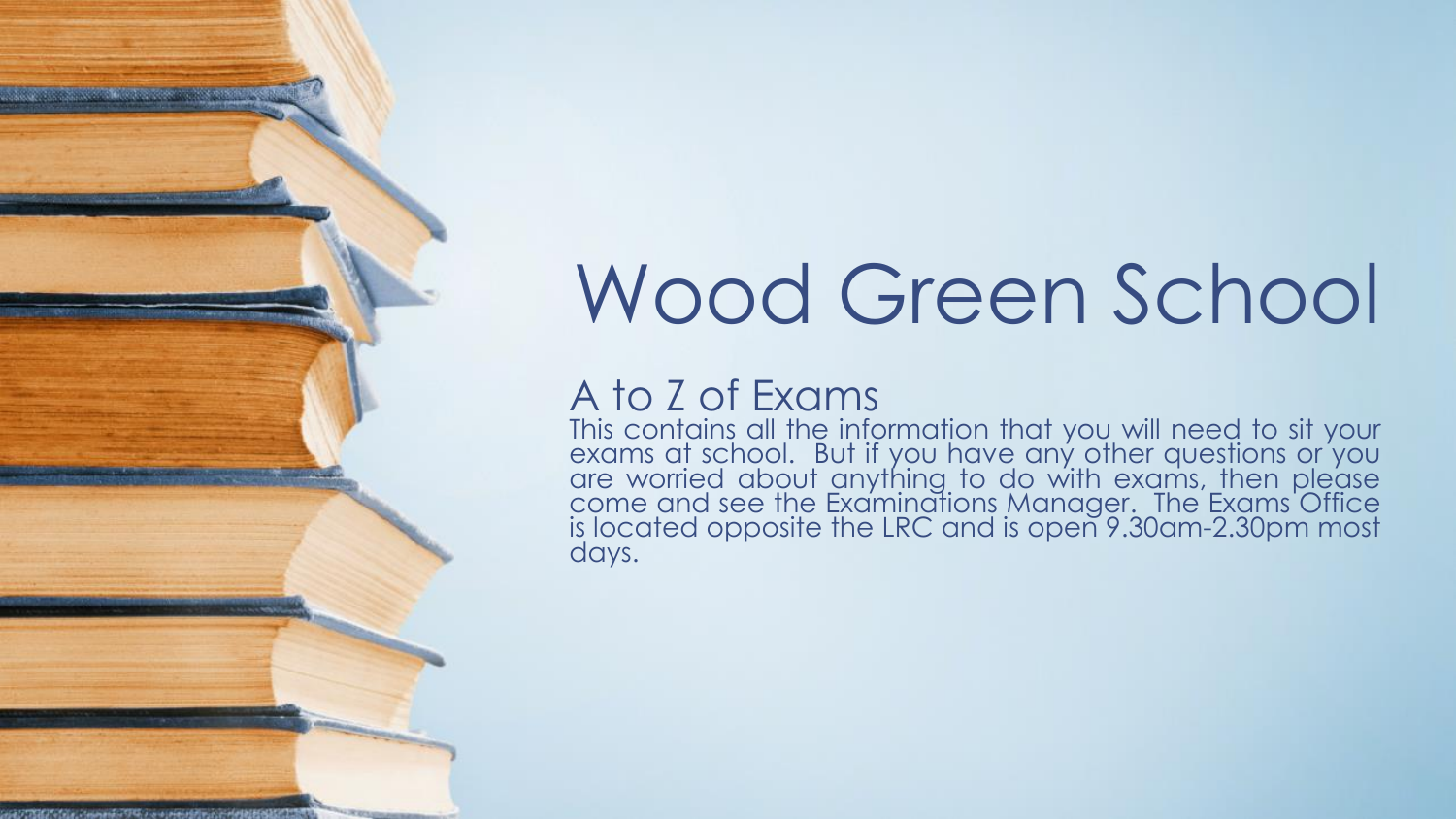# Wood Green School

# A to Z of Exams

**CONTRACTORS** IN THE RESIDENCE OF A REAL PROPERTY.

This contains all the information that you will need to sit your exams at school. But if you have any other questions or you are worried about anything to do with exams, then please come and see the Examinations Manager. The Exams Office is located opposite the LRC and is open 9.30am-2.30pm most days.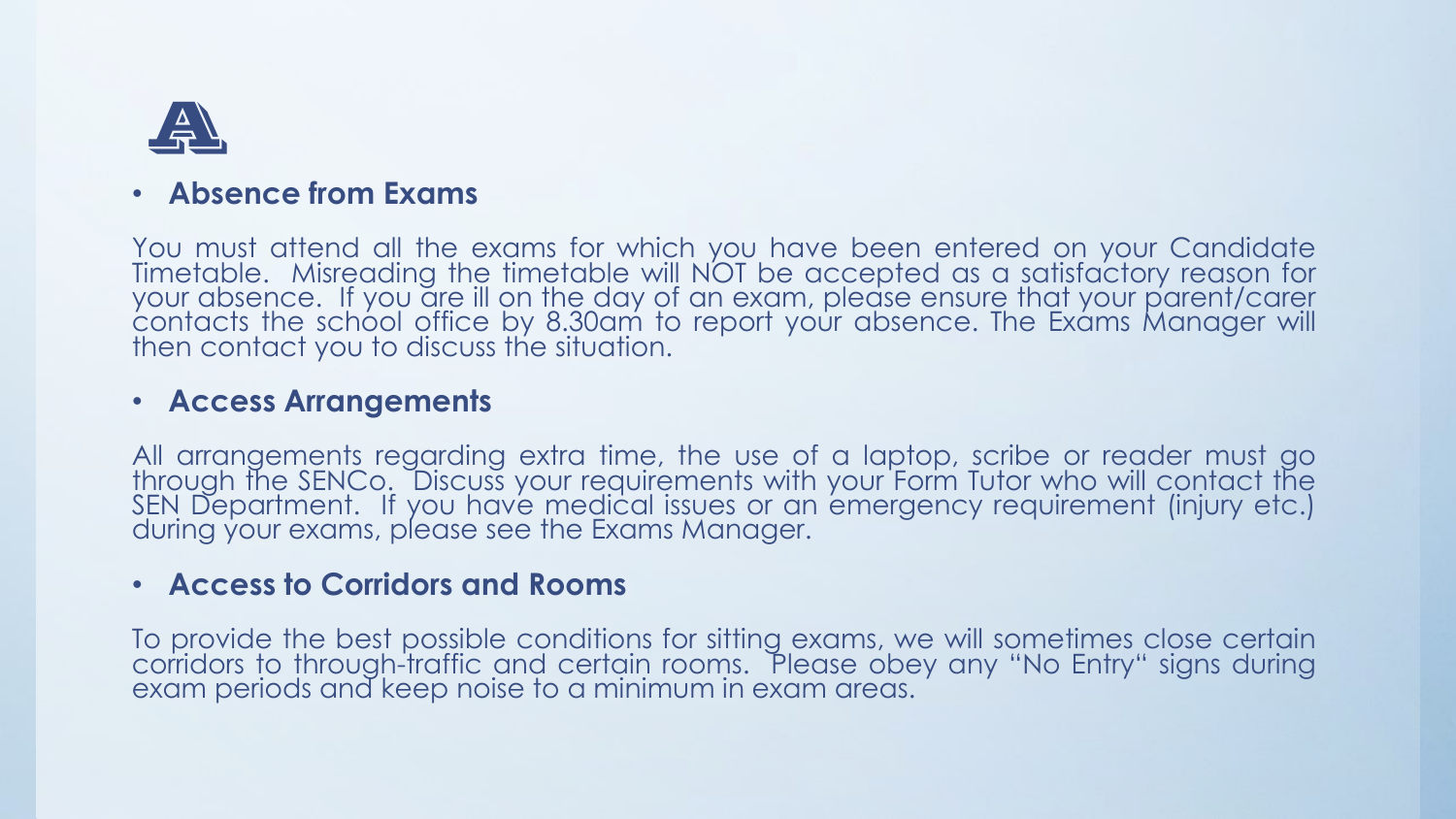

#### • **Absence from Exams**

You must attend all the exams for which you have been entered on your Candidate Timetable. Misreading the timetable will NOT be accepted as a satisfactory reason for your absence. If you are ill on the day of an exam, please ensure that your parent/carer contacts the school office by 8.30am to report your absence. The Exams Manager will then contact you to discuss the situation.

#### • **Access Arrangements**

All arrangements regarding extra time, the use of a laptop, scribe or reader must go through the SENCo. Discuss your requirements with your Form Tutor who will contact the SEN Department. If you have medical issues or an emergency requirement (injury etc.) during your exams, please see the Exams Manager.

#### • **Access to Corridors and Rooms**

To provide the best possible conditions for sitting exams, we will sometimes close certain corridors to through-traffic and certain rooms. Please obey any "No Entry" signs during exam periods and keep noise to a minimum in exam areas.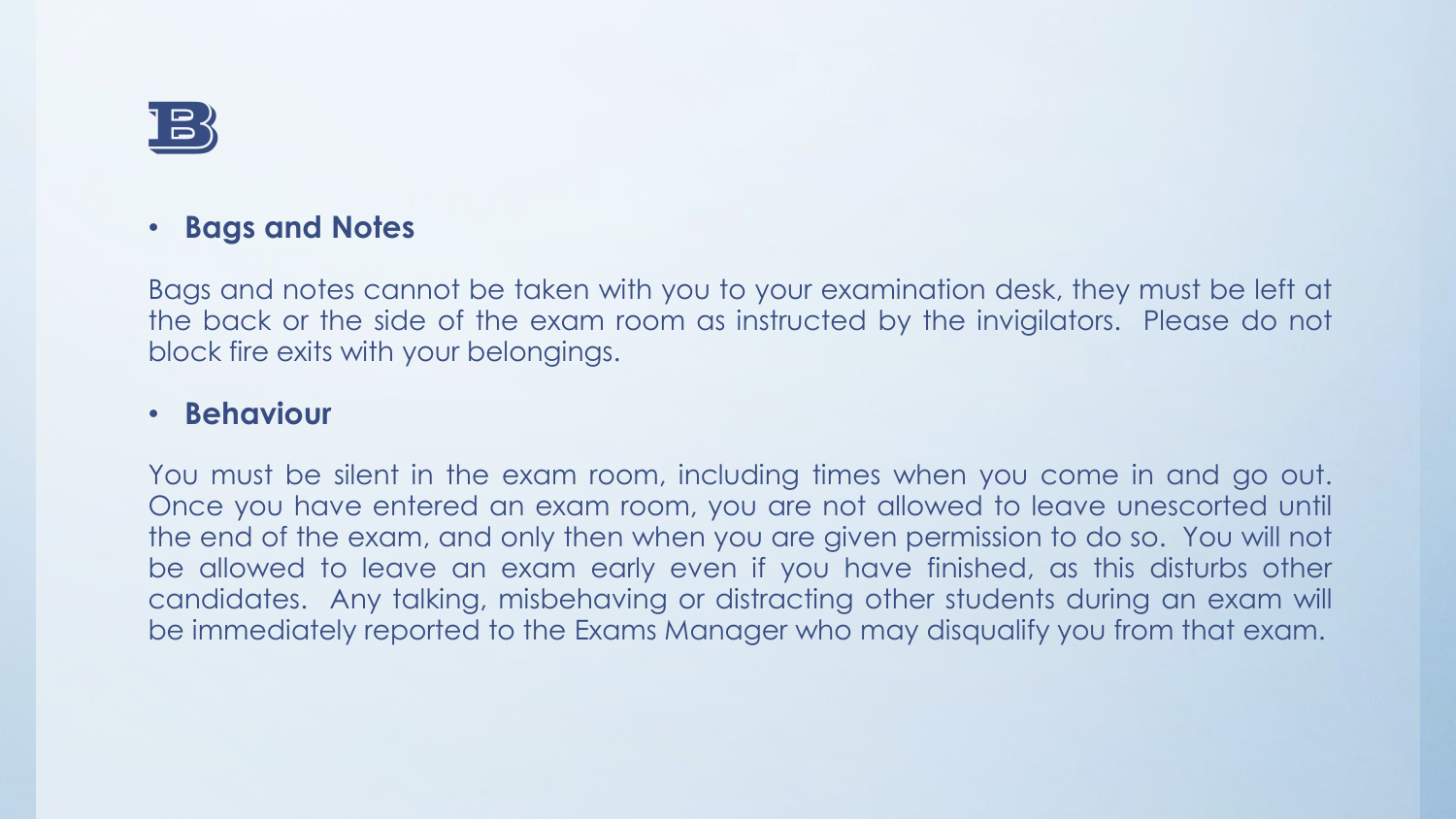

#### • **Bags and Notes**

Bags and notes cannot be taken with you to your examination desk, they must be left at the back or the side of the exam room as instructed by the invigilators. Please do not block fire exits with your belongings.

#### • **Behaviour**

You must be silent in the exam room, including times when you come in and go out. Once you have entered an exam room, you are not allowed to leave unescorted until the end of the exam, and only then when you are given permission to do so. You will not be allowed to leave an exam early even if you have finished, as this disturbs other candidates. Any talking, misbehaving or distracting other students during an exam will be immediately reported to the Exams Manager who may disqualify you from that exam.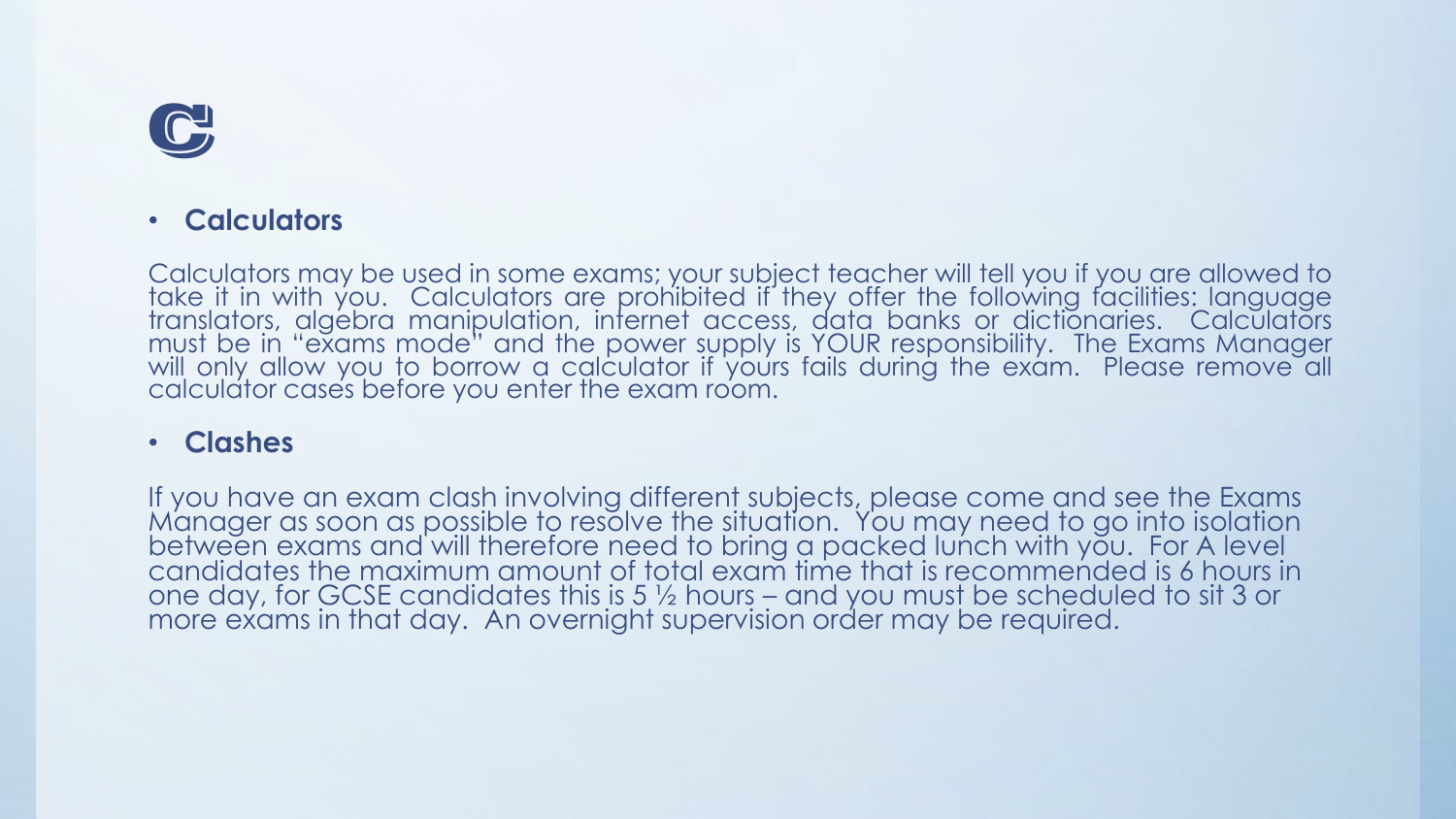

#### • **Calculators**

Calculators may be used in some exams; your subject teacher will tell you if you are allowed to take it in with you. Calculators are prohibited if they offer the following facilities: language translators, algébra manipulation, internet access, data banks or dictionaries. Calculators must be in "exams mode" and the power supply is YOUR responsibility. The Exams Manager will only allow you to borrow a calculator if yours fails during the exam. Please remove all calculator cases before you enter the exam room.

#### • **Clashes**

If you have an exam clash involving different subjects, please come and see the Exams Manager as soon as possible to resolve the situation. You may need to go into isolation between exams and will therefore need to bring a packed lunch with you. For A level candidates the maximum amount of total exam time that is recommended is 6 hours in one day, for GCSE candidates this is 5 ½ hours – and you must be scheduled to sit 3 or more exams in that day. An overnight supervision order may be required.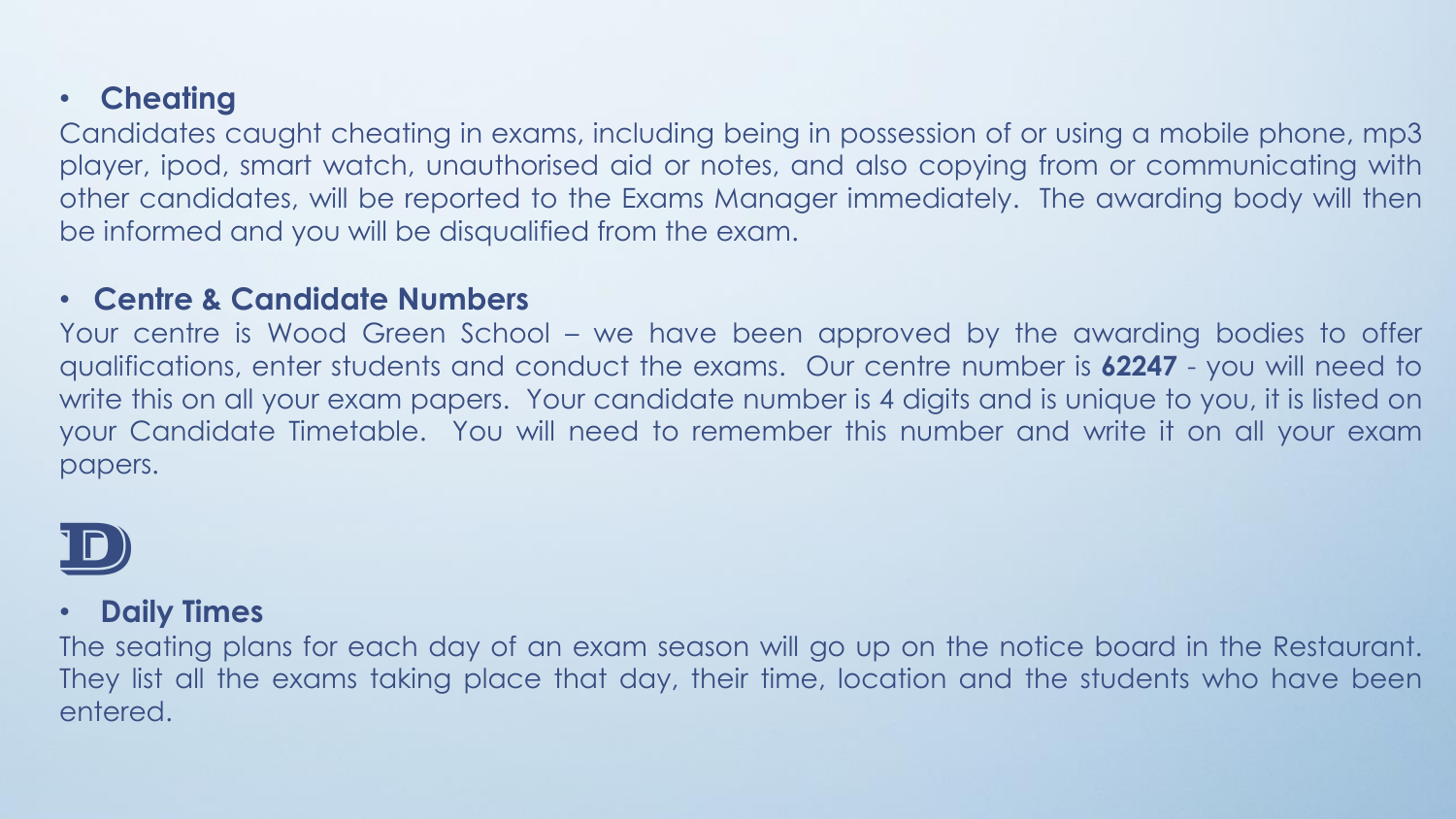#### • **Cheating**

Candidates caught cheating in exams, including being in possession of or using a mobile phone, mp3 player, ipod, smart watch, unauthorised aid or notes, and also copying from or communicating with other candidates, will be reported to the Exams Manager immediately. The awarding body will then be informed and you will be disqualified from the exam.

#### • **Centre & Candidate Numbers**

Your centre is Wood Green School – we have been approved by the awarding bodies to offer qualifications, enter students and conduct the exams. Our centre number is **62247** - you will need to write this on all your exam papers. Your candidate number is 4 digits and is unique to you, it is listed on your Candidate Timetable. You will need to remember this number and write it on all your exam papers.



#### • **Daily Times**

The seating plans for each day of an exam season will go up on the notice board in the Restaurant. They list all the exams taking place that day, their time, location and the students who have been entered.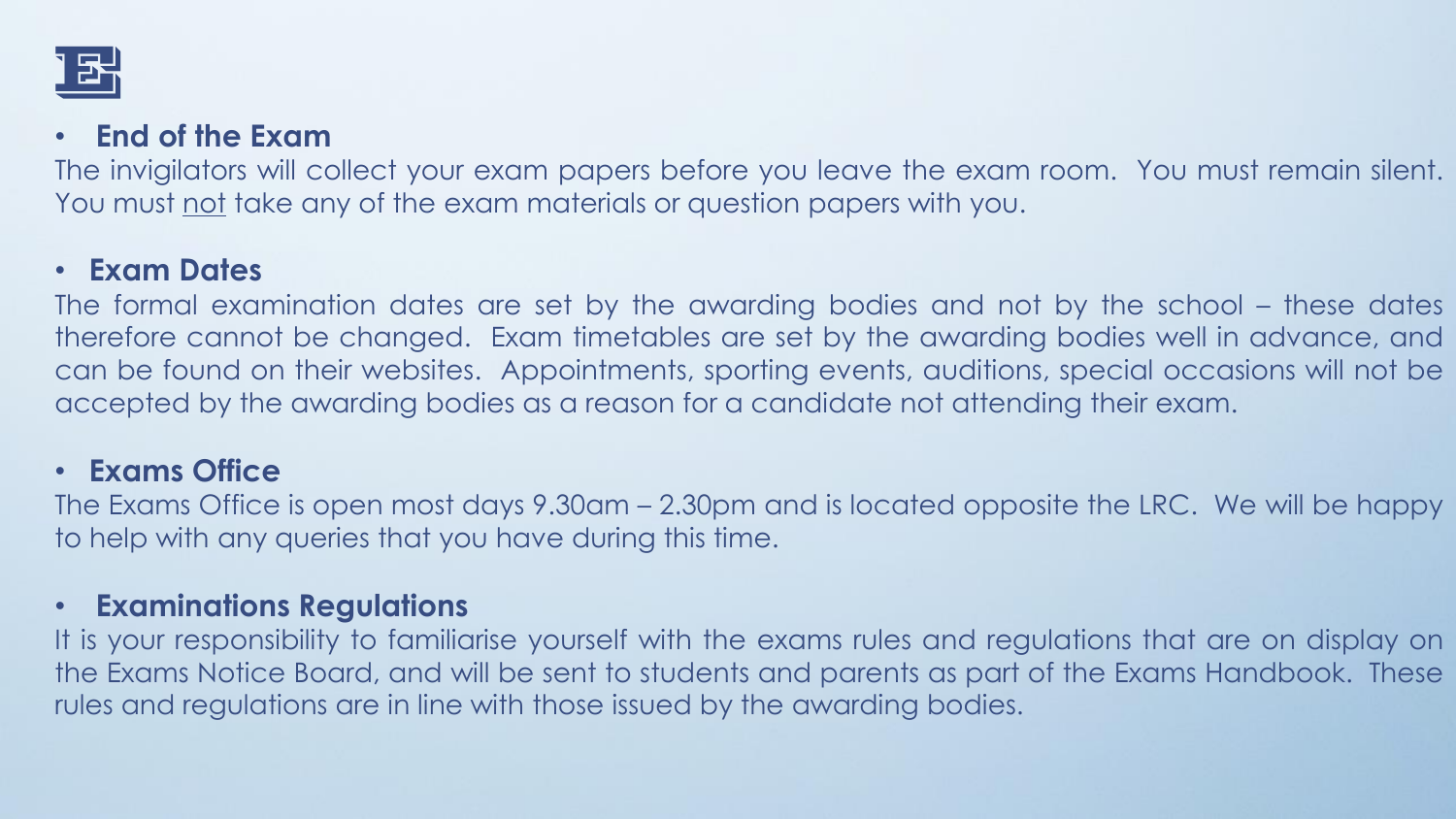

#### • **End of the Exam**

The invigilators will collect your exam papers before you leave the exam room. You must remain silent. You must not take any of the exam materials or question papers with you.

#### • **Exam Dates**

The formal examination dates are set by the awarding bodies and not by the school – these dates therefore cannot be changed. Exam timetables are set by the awarding bodies well in advance, and can be found on their websites. Appointments, sporting events, auditions, special occasions will not be accepted by the awarding bodies as a reason for a candidate not attending their exam.

#### • **Exams Office**

The Exams Office is open most days 9.30am – 2.30pm and is located opposite the LRC. We will be happy to help with any queries that you have during this time.

#### • **Examinations Regulations**

It is your responsibility to familiarise yourself with the exams rules and regulations that are on display on the Exams Notice Board, and will be sent to students and parents as part of the Exams Handbook. These rules and regulations are in line with those issued by the awarding bodies.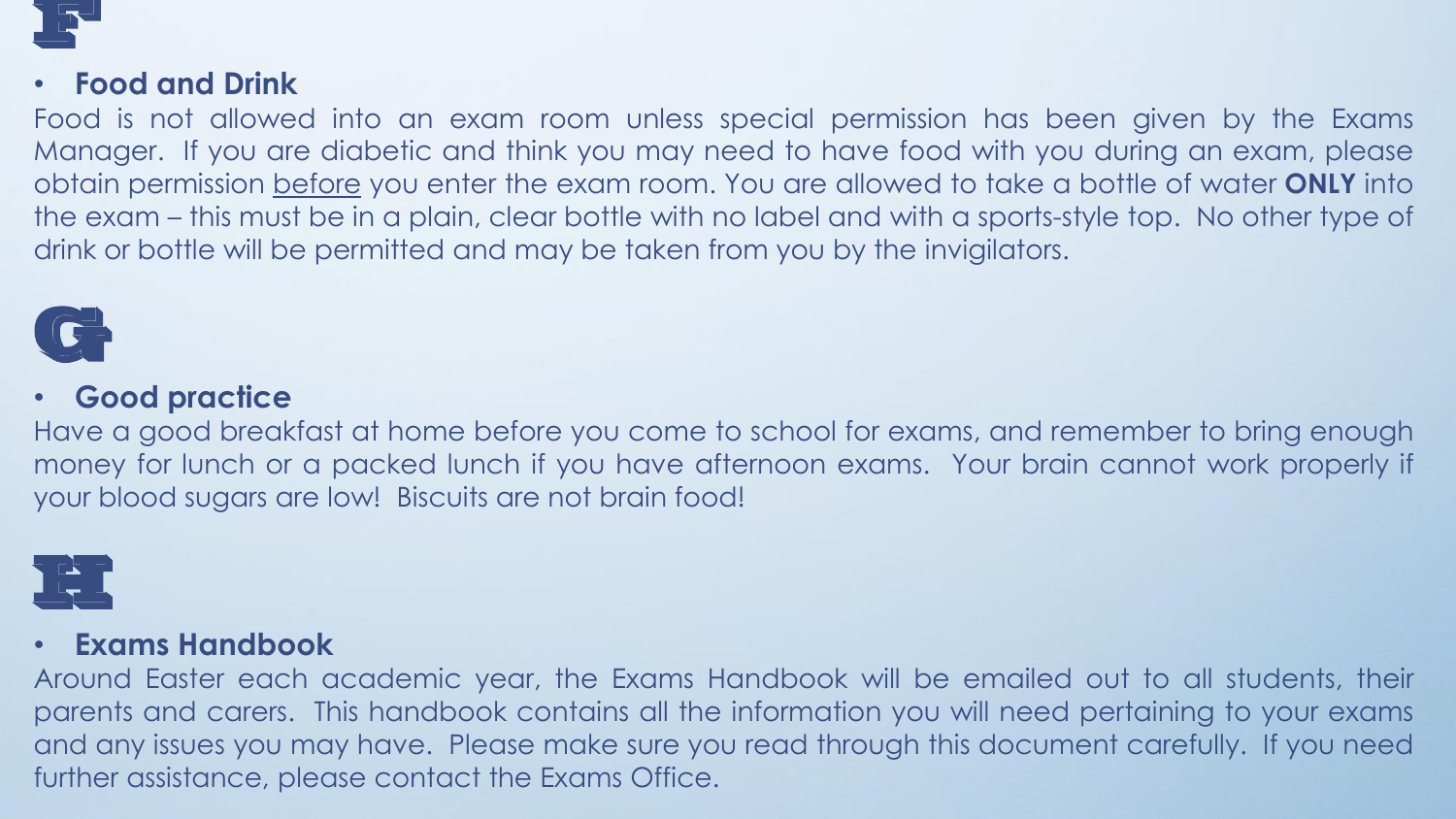

#### • **Food and Drink**

Food is not allowed into an exam room unless special permission has been given by the Exams Manager. If you are diabetic and think you may need to have food with you during an exam, please obtain permission before you enter the exam room. You are allowed to take a bottle of water **ONLY** into the exam – this must be in a plain, clear bottle with no label and with a sports-style top. No other type of drink or bottle will be permitted and may be taken from you by the invigilators.



#### • **Good practice**

Have a good breakfast at home before you come to school for exams, and remember to bring enough money for lunch or a packed lunch if you have afternoon exams. Your brain cannot work properly if your blood sugars are low! Biscuits are not brain food!



#### • **Exams Handbook**

Around Easter each academic year, the Exams Handbook will be emailed out to all students, their parents and carers. This handbook contains all the information you will need pertaining to your exams and any issues you may have. Please make sure you read through this document carefully. If you need further assistance, please contact the Exams Office.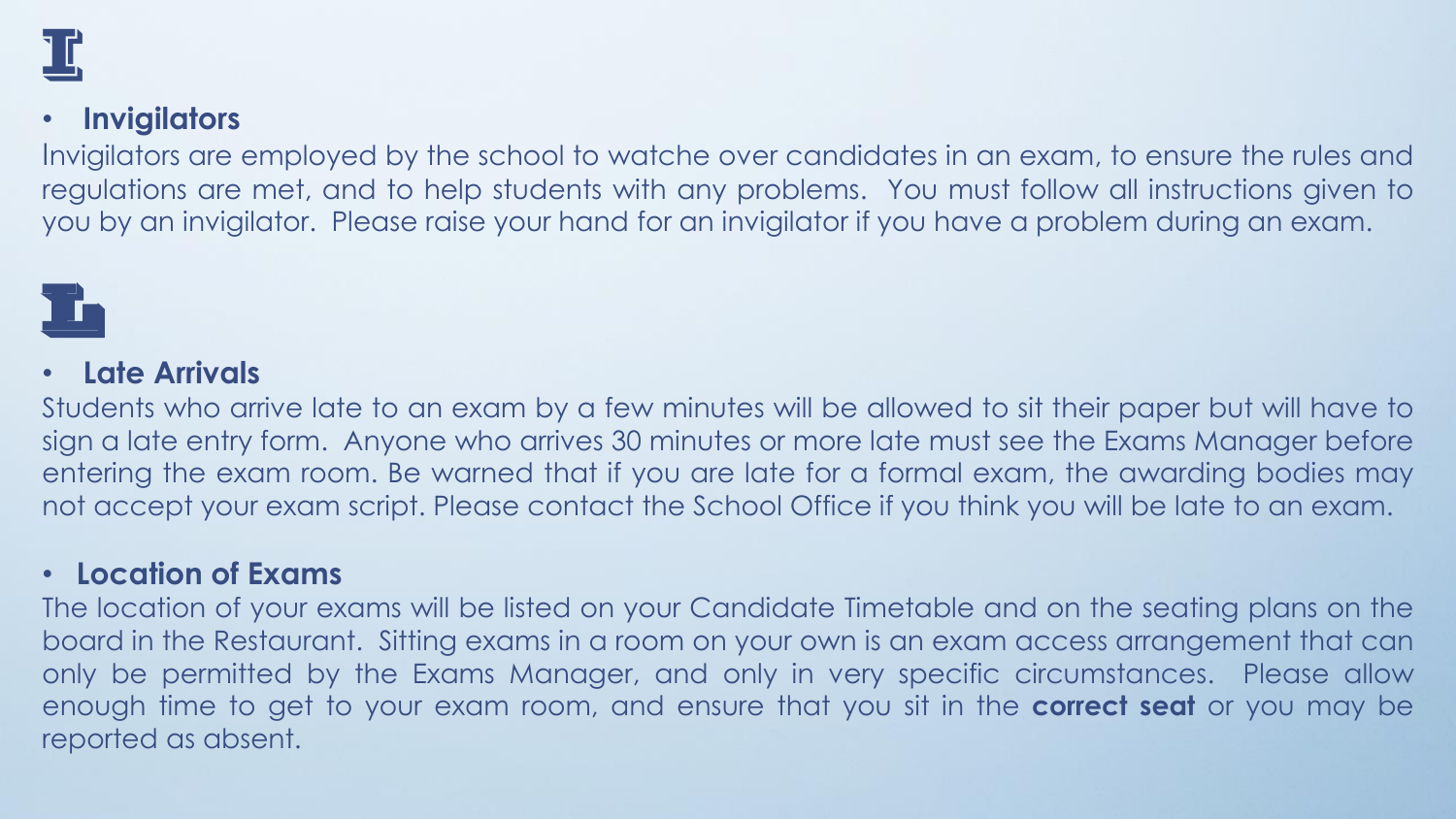

#### • **Invigilators**

Invigilators are employed by the school to watche over candidates in an exam, to ensure the rules and regulations are met, and to help students with any problems. You must follow all instructions given to you by an invigilator. Please raise your hand for an invigilator if you have a problem during an exam.

# L

#### • **Late Arrivals**

Students who arrive late to an exam by a few minutes will be allowed to sit their paper but will have to sign a late entry form. Anyone who arrives 30 minutes or more late must see the Exams Manager before entering the exam room. Be warned that if you are late for a formal exam, the awarding bodies may not accept your exam script. Please contact the School Office if you think you will be late to an exam.

#### • **Location of Exams**

The location of your exams will be listed on your Candidate Timetable and on the seating plans on the board in the Restaurant. Sitting exams in a room on your own is an exam access arrangement that can only be permitted by the Exams Manager, and only in very specific circumstances. Please allow enough time to get to your exam room, and ensure that you sit in the **correct seat** or you may be reported as absent.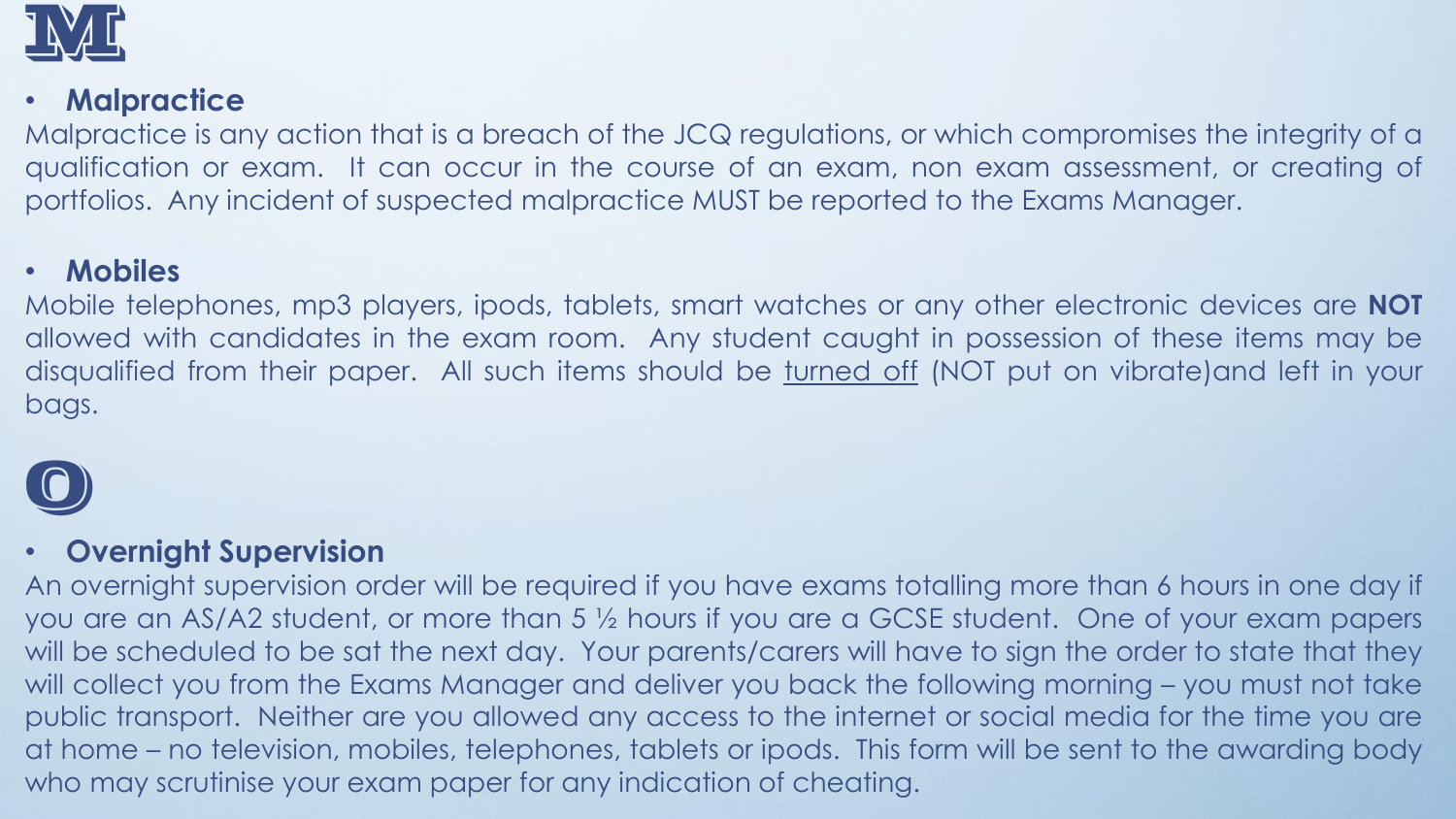

### • **Malpractice**

Malpractice is any action that is a breach of the JCQ regulations, or which compromises the integrity of a qualification or exam. It can occur in the course of an exam, non exam assessment, or creating of portfolios. Any incident of suspected malpractice MUST be reported to the Exams Manager.

#### • **Mobiles**

Mobile telephones, mp3 players, ipods, tablets, smart watches or any other electronic devices are **NOT** allowed with candidates in the exam room. Any student caught in possession of these items may be disqualified from their paper. All such items should be turned off (NOT put on vibrate)and left in your bags.



#### • **Overnight Supervision**

An overnight supervision order will be required if you have exams totalling more than 6 hours in one day if you are an AS/A2 student, or more than 5 ½ hours if you are a GCSE student. One of your exam papers will be scheduled to be sat the next day. Your parents/carers will have to sign the order to state that they will collect you from the Exams Manager and deliver you back the following morning – you must not take public transport. Neither are you allowed any access to the internet or social media for the time you are at home – no television, mobiles, telephones, tablets or ipods. This form will be sent to the awarding body who may scrutinise your exam paper for any indication of cheating.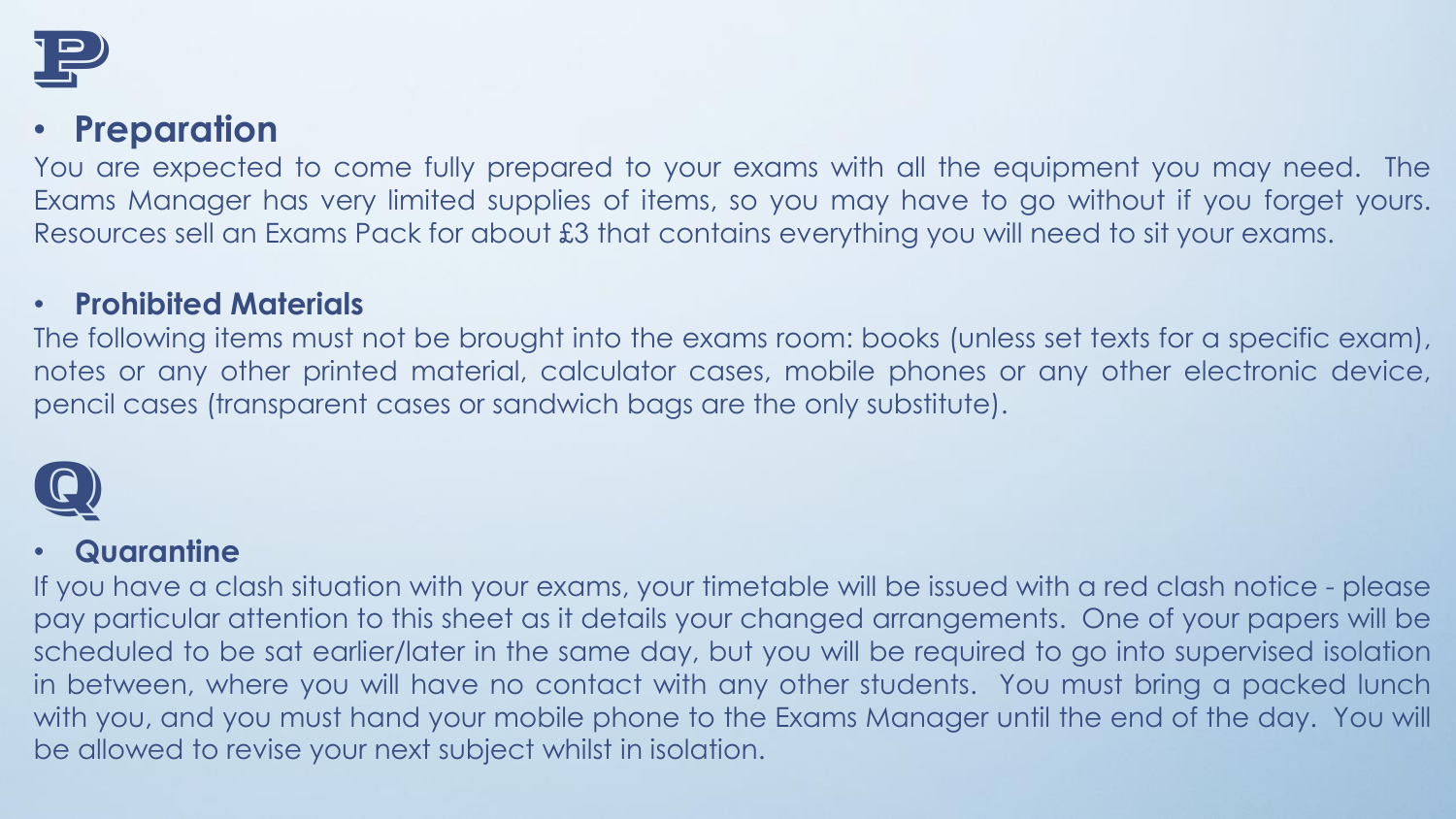

# • **Preparation**

You are expected to come fully prepared to your exams with all the equipment you may need. The Exams Manager has very limited supplies of items, so you may have to go without if you forget yours. Resources sell an Exams Pack for about £3 that contains everything you will need to sit your exams.

#### • **Prohibited Materials**

The following items must not be brought into the exams room: books (unless set texts for a specific exam), notes or any other printed material, calculator cases, mobile phones or any other electronic device, pencil cases (transparent cases or sandwich bags are the only substitute).



#### • **Quarantine**

If you have a clash situation with your exams, your timetable will be issued with a red clash notice - please pay particular attention to this sheet as it details your changed arrangements. One of your papers will be scheduled to be sat earlier/later in the same day, but you will be required to go into supervised isolation in between, where you will have no contact with any other students. You must bring a packed lunch with you, and you must hand your mobile phone to the Exams Manager until the end of the day. You will be allowed to revise your next subject whilst in isolation.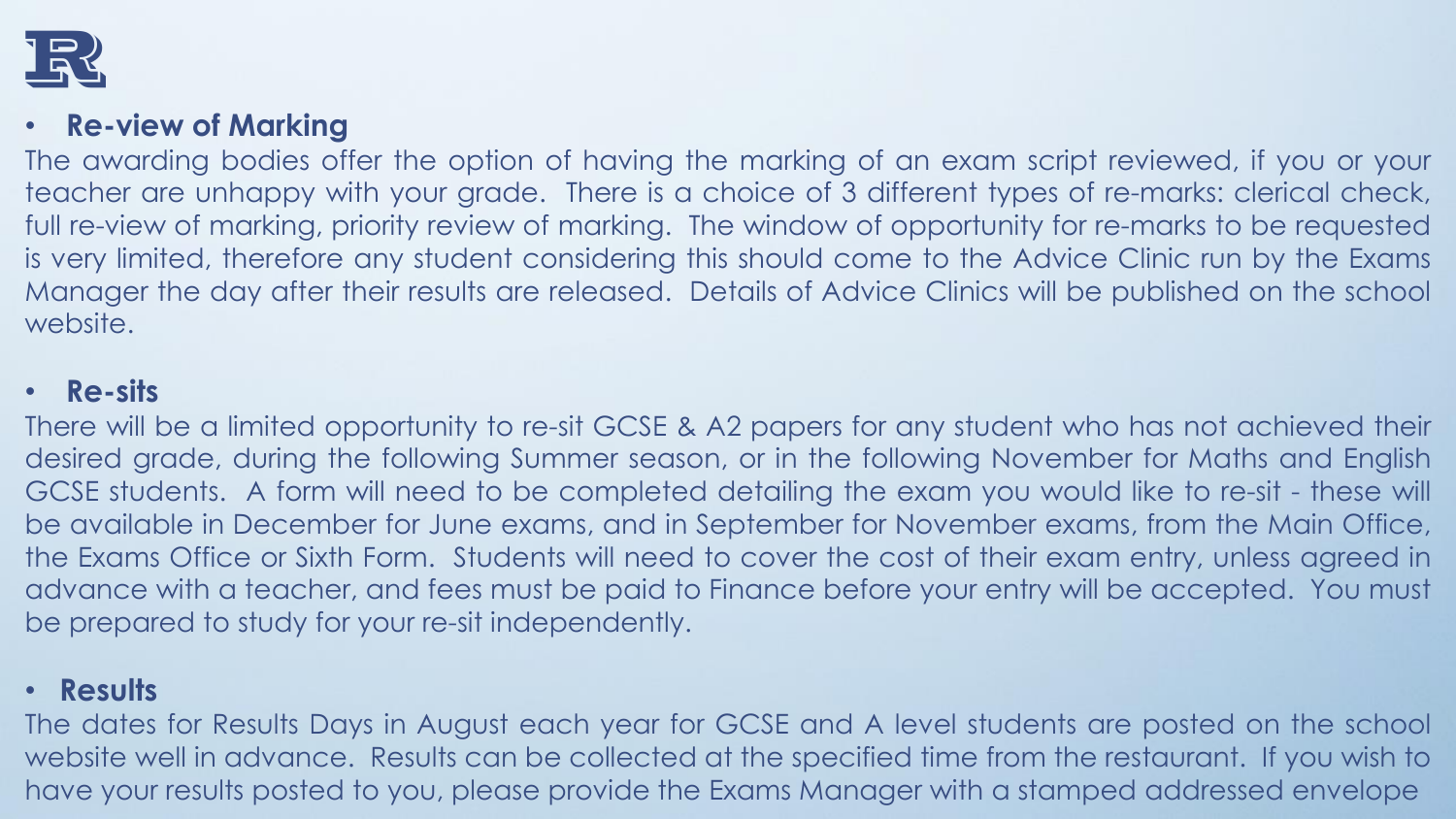

#### • **Re-view of Marking**

The awarding bodies offer the option of having the marking of an exam script reviewed, if you or your teacher are unhappy with your grade. There is a choice of 3 different types of re-marks: clerical check, full re-view of marking, priority review of marking. The window of opportunity for re-marks to be requested is very limited, therefore any student considering this should come to the Advice Clinic run by the Exams Manager the day after their results are released. Details of Advice Clinics will be published on the school website.

#### • **Re-sits**

There will be a limited opportunity to re-sit GCSE & A2 papers for any student who has not achieved their desired grade, during the following Summer season, or in the following November for Maths and English GCSE students. A form will need to be completed detailing the exam you would like to re-sit - these will be available in December for June exams, and in September for November exams, from the Main Office, the Exams Office or Sixth Form. Students will need to cover the cost of their exam entry, unless agreed in advance with a teacher, and fees must be paid to Finance before your entry will be accepted. You must be prepared to study for your re-sit independently.

#### • **Results**

The dates for Results Days in August each year for GCSE and A level students are posted on the school website well in advance. Results can be collected at the specified time from the restaurant. If you wish to have your results posted to you, please provide the Exams Manager with a stamped addressed envelope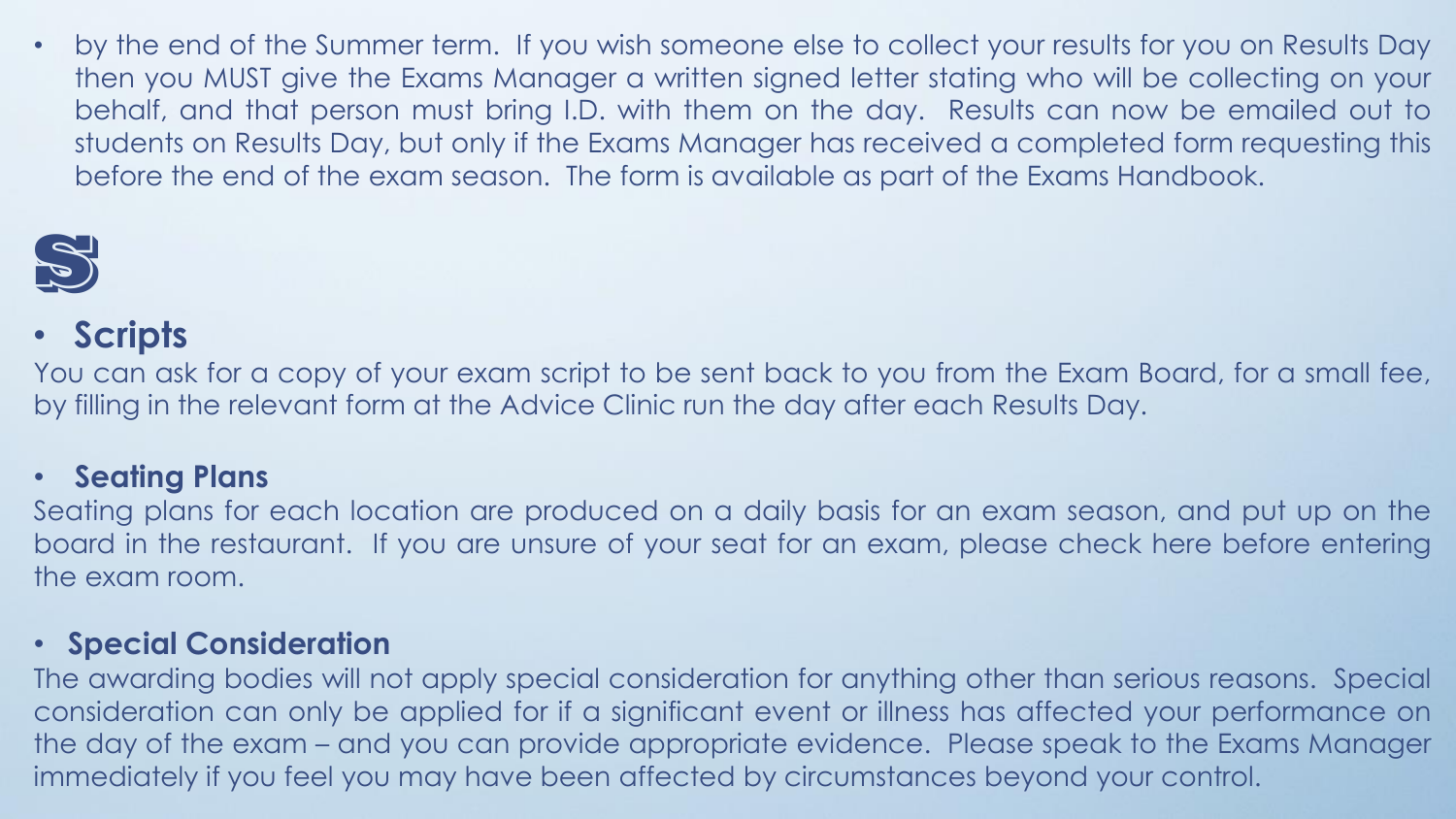• by the end of the Summer term. If you wish someone else to collect your results for you on Results Day then you MUST give the Exams Manager a written signed letter stating who will be collecting on your behalf, and that person must bring I.D. with them on the day. Results can now be emailed out to students on Results Day, but only if the Exams Manager has received a completed form requesting this before the end of the exam season. The form is available as part of the Exams Handbook.



# • **Scripts**

You can ask for a copy of your exam script to be sent back to you from the Exam Board, for a small fee, by filling in the relevant form at the Advice Clinic run the day after each Results Day.

#### • **Seating Plans**

Seating plans for each location are produced on a daily basis for an exam season, and put up on the board in the restaurant. If you are unsure of your seat for an exam, please check here before entering the exam room.

#### • **Special Consideration**

The awarding bodies will not apply special consideration for anything other than serious reasons. Special consideration can only be applied for if a significant event or illness has affected your performance on the day of the exam – and you can provide appropriate evidence. Please speak to the Exams Manager immediately if you feel you may have been affected by circumstances beyond your control.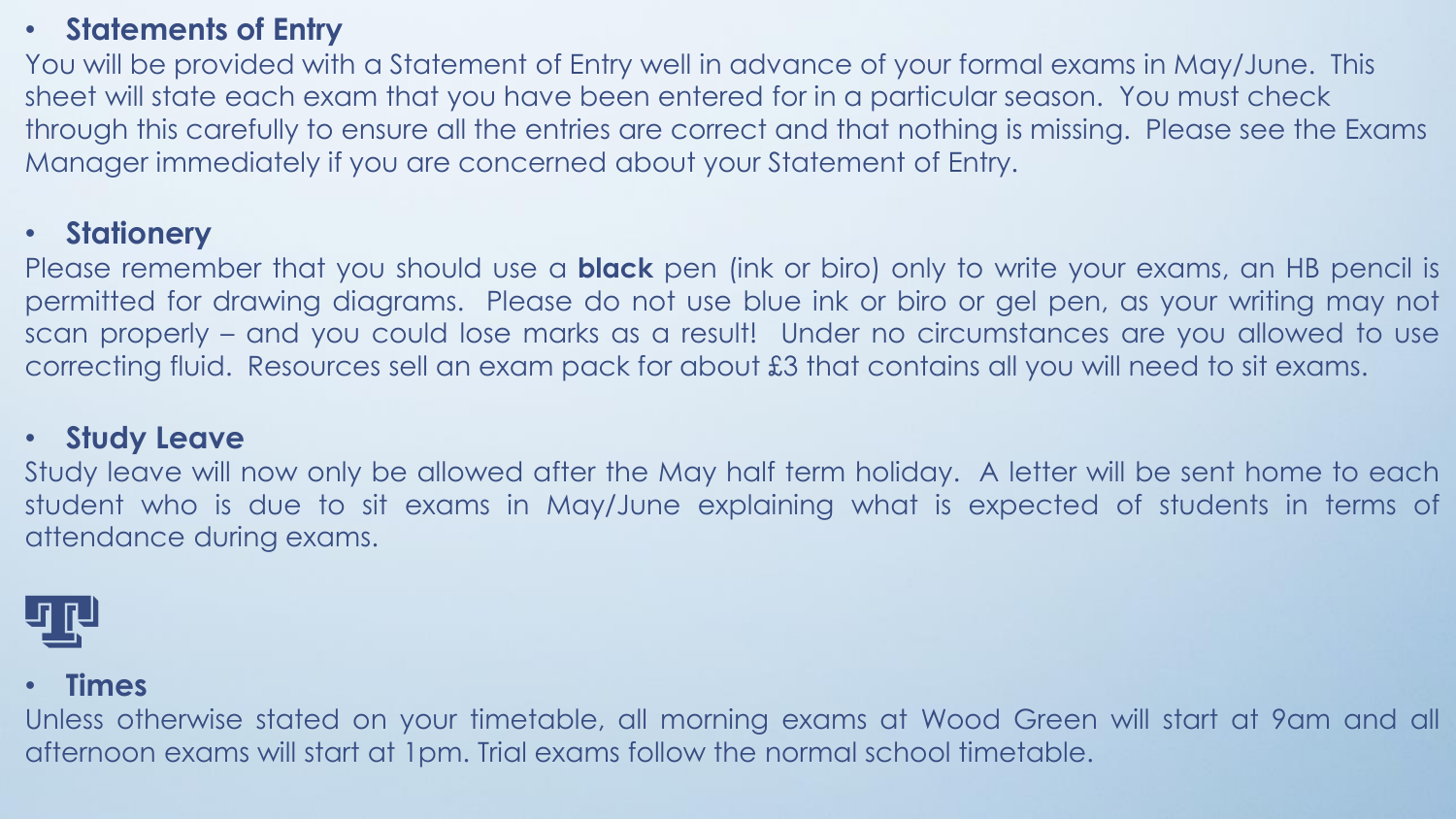#### • **Statements of Entry**

You will be provided with a Statement of Entry well in advance of your formal exams in May/June. This sheet will state each exam that you have been entered for in a particular season. You must check through this carefully to ensure all the entries are correct and that nothing is missing. Please see the Exams Manager immediately if you are concerned about your Statement of Entry.

#### • **Stationery**

Please remember that you should use a **black** pen (ink or biro) only to write your exams, an HB pencil is permitted for drawing diagrams. Please do not use blue ink or biro or gel pen, as your writing may not scan properly – and you could lose marks as a result! Under no circumstances are you allowed to use correcting fluid. Resources sell an exam pack for about £3 that contains all you will need to sit exams.

#### • **Study Leave**

Study leave will now only be allowed after the May half term holiday. A letter will be sent home to each student who is due to sit exams in May/June explaining what is expected of students in terms of attendance during exams.



#### • **Times**

Unless otherwise stated on your timetable, all morning exams at Wood Green will start at 9am and all afternoon exams will start at 1pm. Trial exams follow the normal school timetable.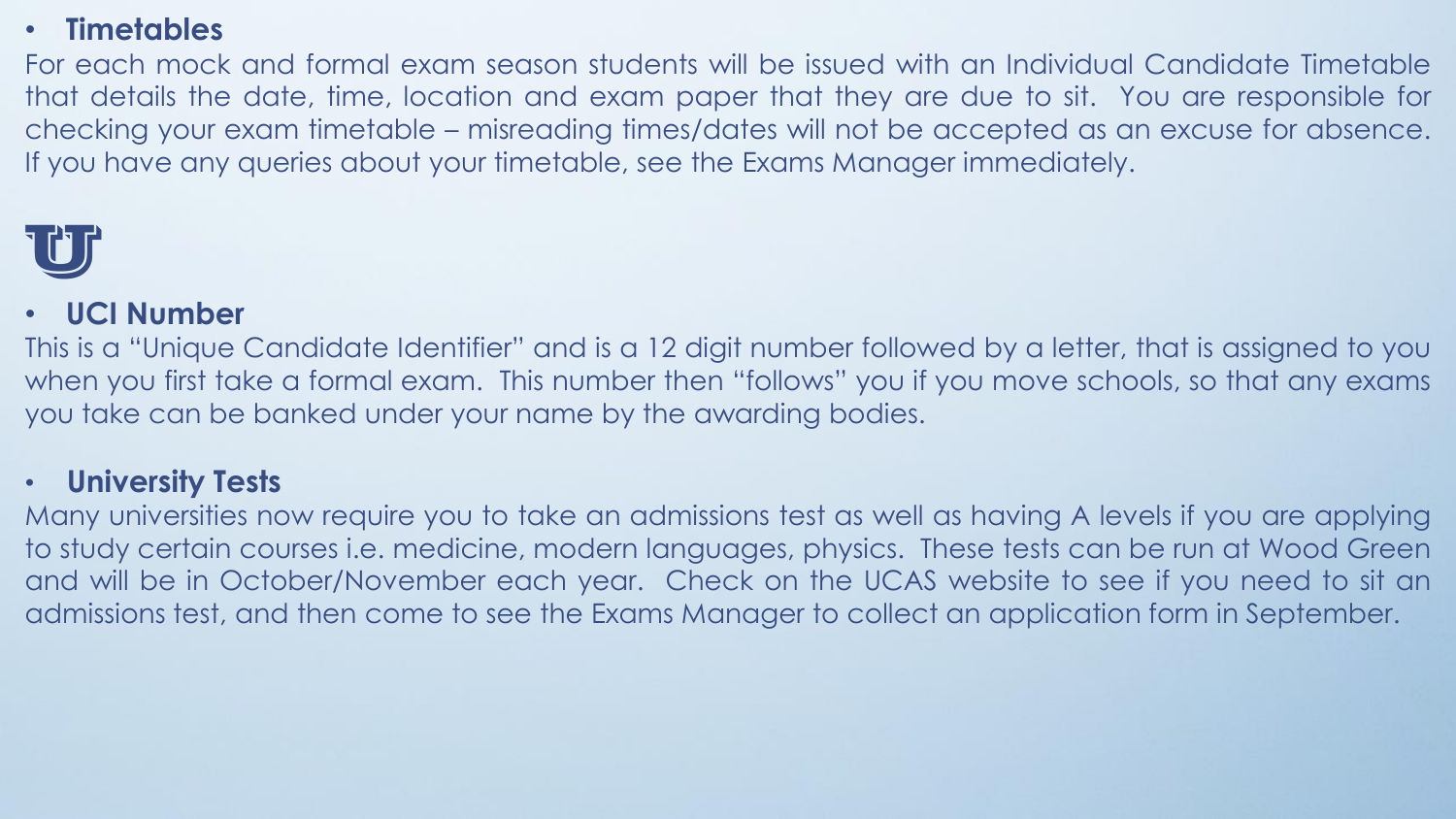#### • **Timetables**

For each mock and formal exam season students will be issued with an Individual Candidate Timetable that details the date, time, location and exam paper that they are due to sit. You are responsible for checking your exam timetable – misreading times/dates will not be accepted as an excuse for absence. If you have any queries about your timetable, see the Exams Manager immediately.



#### • **UCI Number**

This is a "Unique Candidate Identifier" and is a 12 digit number followed by a letter, that is assigned to you when you first take a formal exam. This number then "follows" you if you move schools, so that any exams you take can be banked under your name by the awarding bodies.

#### • **University Tests**

Many universities now require you to take an admissions test as well as having A levels if you are applying to study certain courses i.e. medicine, modern languages, physics. These tests can be run at Wood Green and will be in October/November each year. Check on the UCAS website to see if you need to sit an admissions test, and then come to see the Exams Manager to collect an application form in September.